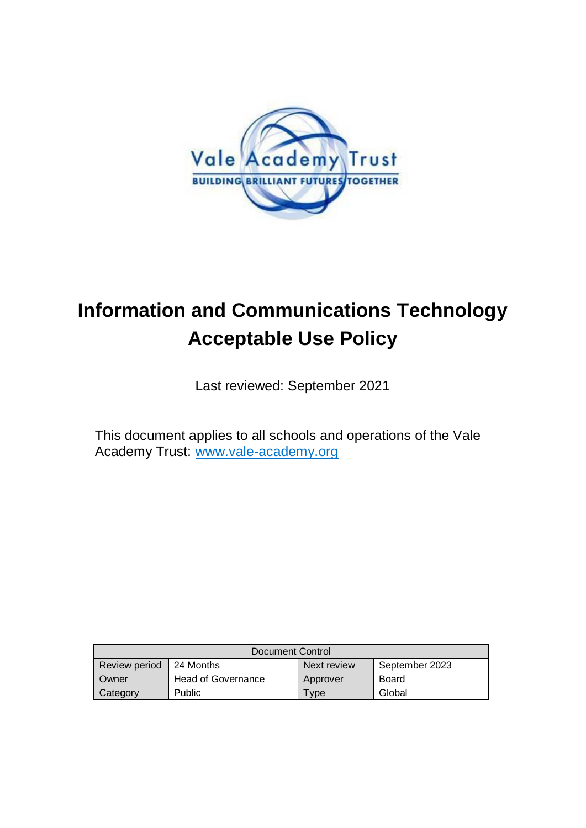

# **Information and Communications Technology Acceptable Use Policy**

Last reviewed: September 2021

This document applies to all schools and operations of the Vale Academy Trust: [www.vale-academy.org](http://www.vale-academy.org/)

| Document Control |                           |             |                |  |
|------------------|---------------------------|-------------|----------------|--|
| Review period    | 124 Months                | Next review | September 2023 |  |
| Owner            | <b>Head of Governance</b> | Approver    | <b>Board</b>   |  |
| Category         | Public                    | Type        | Global         |  |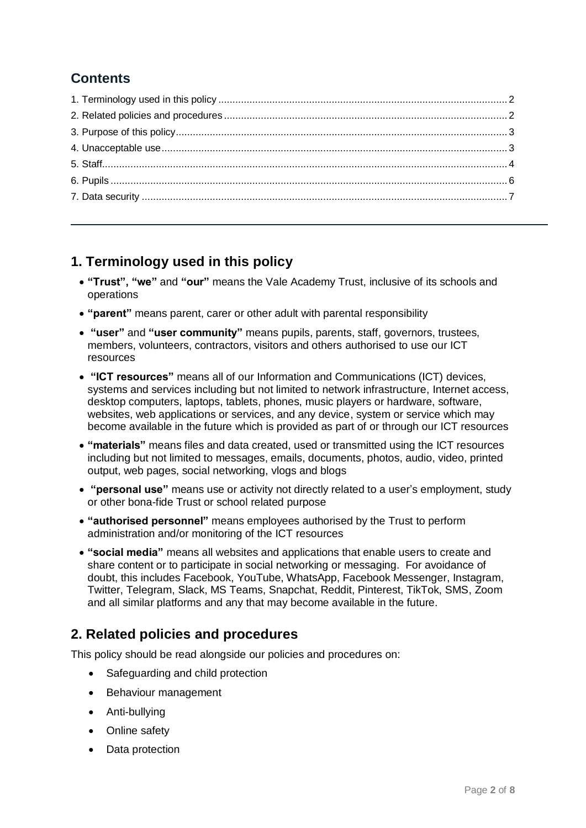# **Contents**

# <span id="page-1-0"></span>**1. Terminology used in this policy**

- **"Trust", "we"** and **"our"** means the Vale Academy Trust, inclusive of its schools and operations
- **"parent"** means parent, carer or other adult with parental responsibility
- **"user"** and **"user community"** means pupils, parents, staff, governors, trustees, members, volunteers, contractors, visitors and others authorised to use our ICT resources
- **"ICT resources"** means all of our Information and Communications (ICT) devices, systems and services including but not limited to network infrastructure, Internet access, desktop computers, laptops, tablets, phones, music players or hardware, software, websites, web applications or services, and any device, system or service which may become available in the future which is provided as part of or through our ICT resources
- **"materials"** means files and data created, used or transmitted using the ICT resources including but not limited to messages, emails, documents, photos, audio, video, printed output, web pages, social networking, vlogs and blogs
- **"personal use"** means use or activity not directly related to a user's employment, study or other bona-fide Trust or school related purpose
- **"authorised personnel"** means employees authorised by the Trust to perform administration and/or monitoring of the ICT resources
- **"social media"** means all websites and applications that enable users to create and share content or to participate in social networking or messaging. For avoidance of doubt, this includes Facebook, YouTube, WhatsApp, Facebook Messenger, Instagram, Twitter, Telegram, Slack, MS Teams, Snapchat, Reddit, Pinterest, TikTok, SMS, Zoom and all similar platforms and any that may become available in the future.

# <span id="page-1-1"></span>**2. Related policies and procedures**

This policy should be read alongside our policies and procedures on:

- Safeguarding and child protection
- Behaviour management
- Anti-bullying
- Online safety
- Data protection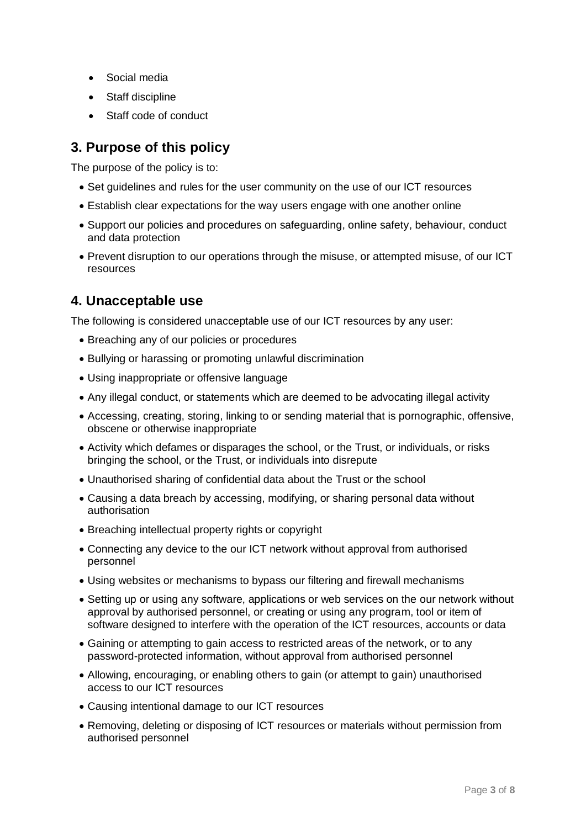- Social media
- Staff discipline
- Staff code of conduct

# <span id="page-2-0"></span>**3. Purpose of this policy**

The purpose of the policy is to:

- Set guidelines and rules for the user community on the use of our ICT resources
- Establish clear expectations for the way users engage with one another online
- Support our policies and procedures on safeguarding, online safety, behaviour, conduct and data protection
- Prevent disruption to our operations through the misuse, or attempted misuse, of our ICT resources

## <span id="page-2-1"></span>**4. Unacceptable use**

The following is considered unacceptable use of our ICT resources by any user:

- Breaching any of our policies or procedures
- Bullying or harassing or promoting unlawful discrimination
- Using inappropriate or offensive language
- Any illegal conduct, or statements which are deemed to be advocating illegal activity
- Accessing, creating, storing, linking to or sending material that is pornographic, offensive, obscene or otherwise inappropriate
- Activity which defames or disparages the school, or the Trust, or individuals, or risks bringing the school, or the Trust, or individuals into disrepute
- Unauthorised sharing of confidential data about the Trust or the school
- Causing a data breach by accessing, modifying, or sharing personal data without authorisation
- Breaching intellectual property rights or copyright
- Connecting any device to the our ICT network without approval from authorised personnel
- Using websites or mechanisms to bypass our filtering and firewall mechanisms
- Setting up or using any software, applications or web services on the our network without approval by authorised personnel, or creating or using any program, tool or item of software designed to interfere with the operation of the ICT resources, accounts or data
- Gaining or attempting to gain access to restricted areas of the network, or to any password-protected information, without approval from authorised personnel
- Allowing, encouraging, or enabling others to gain (or attempt to gain) unauthorised access to our ICT resources
- Causing intentional damage to our ICT resources
- Removing, deleting or disposing of ICT resources or materials without permission from authorised personnel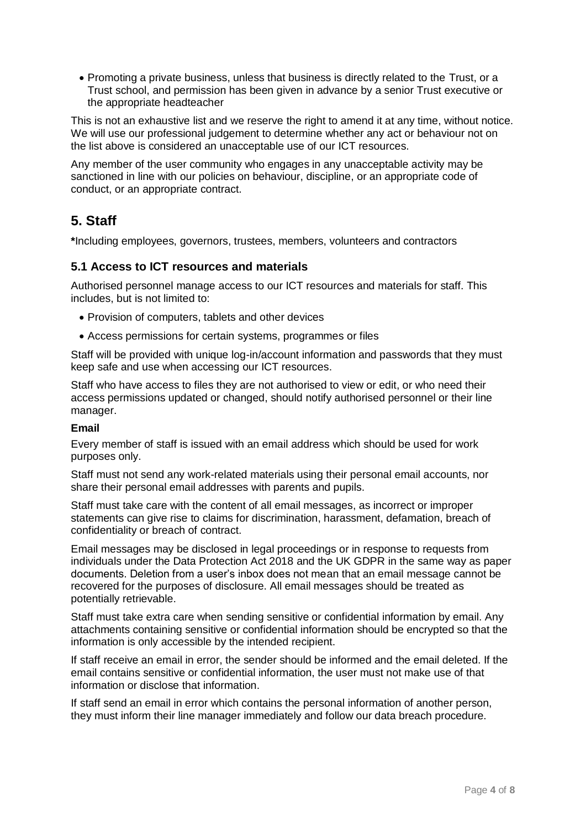Promoting a private business, unless that business is directly related to the Trust, or a Trust school, and permission has been given in advance by a senior Trust executive or the appropriate headteacher

This is not an exhaustive list and we reserve the right to amend it at any time, without notice. We will use our professional judgement to determine whether any act or behaviour not on the list above is considered an unacceptable use of our ICT resources.

Any member of the user community who engages in any unacceptable activity may be sanctioned in line with our policies on behaviour, discipline, or an appropriate code of conduct, or an appropriate contract.

# <span id="page-3-0"></span>**5. Staff**

**\***Including employees, governors, trustees, members, volunteers and contractors

#### **5.1 Access to ICT resources and materials**

Authorised personnel manage access to our ICT resources and materials for staff. This includes, but is not limited to:

- Provision of computers, tablets and other devices
- Access permissions for certain systems, programmes or files

Staff will be provided with unique log-in/account information and passwords that they must keep safe and use when accessing our ICT resources.

Staff who have access to files they are not authorised to view or edit, or who need their access permissions updated or changed, should notify authorised personnel or their line manager.

#### **Email**

Every member of staff is issued with an email address which should be used for work purposes only.

Staff must not send any work-related materials using their personal email accounts, nor share their personal email addresses with parents and pupils.

Staff must take care with the content of all email messages, as incorrect or improper statements can give rise to claims for discrimination, harassment, defamation, breach of confidentiality or breach of contract.

Email messages may be disclosed in legal proceedings or in response to requests from individuals under the Data Protection Act 2018 and the UK GDPR in the same way as paper documents. Deletion from a user's inbox does not mean that an email message cannot be recovered for the purposes of disclosure. All email messages should be treated as potentially retrievable.

Staff must take extra care when sending sensitive or confidential information by email. Any attachments containing sensitive or confidential information should be encrypted so that the information is only accessible by the intended recipient.

If staff receive an email in error, the sender should be informed and the email deleted. If the email contains sensitive or confidential information, the user must not make use of that information or disclose that information.

If staff send an email in error which contains the personal information of another person, they must inform their line manager immediately and follow our data breach procedure.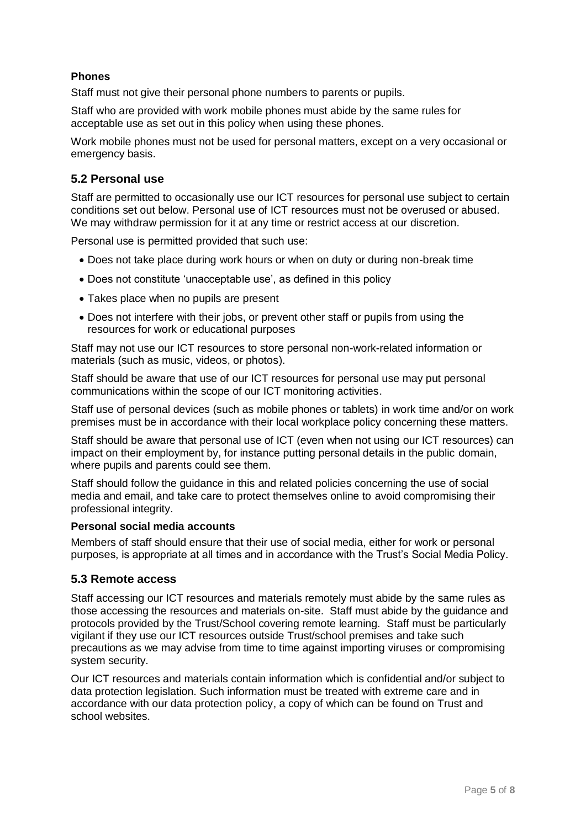## **Phones**

Staff must not give their personal phone numbers to parents or pupils.

Staff who are provided with work mobile phones must abide by the same rules for acceptable use as set out in this policy when using these phones.

Work mobile phones must not be used for personal matters, except on a very occasional or emergency basis.

#### **5.2 Personal use**

Staff are permitted to occasionally use our ICT resources for personal use subject to certain conditions set out below. Personal use of ICT resources must not be overused or abused. We may withdraw permission for it at any time or restrict access at our discretion.

Personal use is permitted provided that such use:

- Does not take place during work hours or when on duty or during non-break time
- Does not constitute 'unacceptable use', as defined in this policy
- Takes place when no pupils are present
- Does not interfere with their jobs, or prevent other staff or pupils from using the resources for work or educational purposes

Staff may not use our ICT resources to store personal non-work-related information or materials (such as music, videos, or photos).

Staff should be aware that use of our ICT resources for personal use may put personal communications within the scope of our ICT monitoring activities.

Staff use of personal devices (such as mobile phones or tablets) in work time and/or on work premises must be in accordance with their local workplace policy concerning these matters.

Staff should be aware that personal use of ICT (even when not using our ICT resources) can impact on their employment by, for instance putting personal details in the public domain, where pupils and parents could see them.

Staff should follow the guidance in this and related policies concerning the use of social media and email, and take care to protect themselves online to avoid compromising their professional integrity.

#### **Personal social media accounts**

Members of staff should ensure that their use of social media, either for work or personal purposes, is appropriate at all times and in accordance with the Trust's Social Media Policy.

#### **5.3 Remote access**

Staff accessing our ICT resources and materials remotely must abide by the same rules as those accessing the resources and materials on-site. Staff must abide by the guidance and protocols provided by the Trust/School covering remote learning. Staff must be particularly vigilant if they use our ICT resources outside Trust/school premises and take such precautions as we may advise from time to time against importing viruses or compromising system security.

Our ICT resources and materials contain information which is confidential and/or subject to data protection legislation. Such information must be treated with extreme care and in accordance with our data protection policy, a copy of which can be found on Trust and school websites.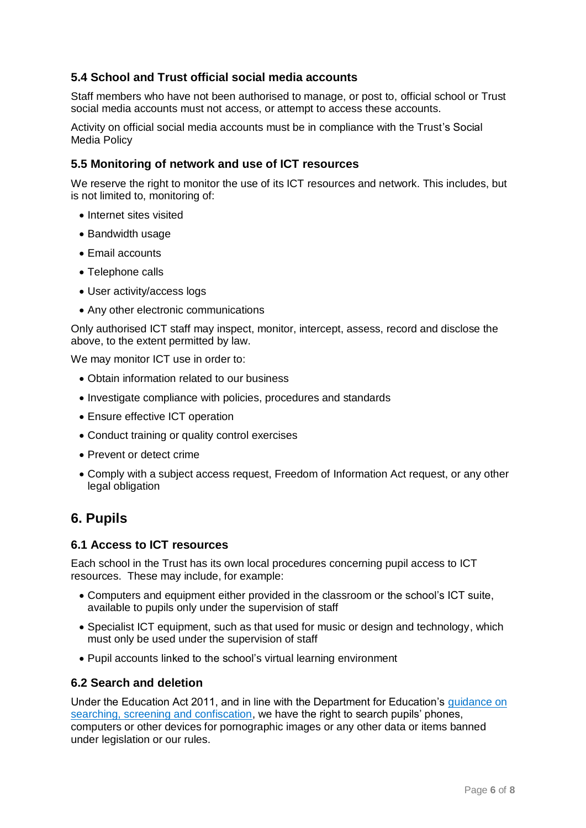## **5.4 School and Trust official social media accounts**

Staff members who have not been authorised to manage, or post to, official school or Trust social media accounts must not access, or attempt to access these accounts.

Activity on official social media accounts must be in compliance with the Trust's Social Media Policy

#### **5.5 Monitoring of network and use of ICT resources**

We reserve the right to monitor the use of its ICT resources and network. This includes, but is not limited to, monitoring of:

- Internet sites visited
- Bandwidth usage
- Email accounts
- Telephone calls
- User activity/access logs
- Any other electronic communications

Only authorised ICT staff may inspect, monitor, intercept, assess, record and disclose the above, to the extent permitted by law.

We may monitor ICT use in order to:

- Obtain information related to our business
- Investigate compliance with policies, procedures and standards
- Ensure effective ICT operation
- Conduct training or quality control exercises
- Prevent or detect crime
- Comply with a subject access request, Freedom of Information Act request, or any other legal obligation

# <span id="page-5-0"></span>**6. Pupils**

#### **6.1 Access to ICT resources**

Each school in the Trust has its own local procedures concerning pupil access to ICT resources. These may include, for example:

- Computers and equipment either provided in the classroom or the school's ICT suite, available to pupils only under the supervision of staff
- Specialist ICT equipment, such as that used for music or design and technology, which must only be used under the supervision of staff
- Pupil accounts linked to the school's virtual learning environment

## **6.2 Search and deletion**

Under the Education Act 2011, and in line with the Department for Education's [guidance on](https://www.gov.uk/government/publications/searching-screening-and-confiscation)  [searching, screening and confiscation,](https://www.gov.uk/government/publications/searching-screening-and-confiscation) we have the right to search pupils' phones, computers or other devices for pornographic images or any other data or items banned under legislation or our rules.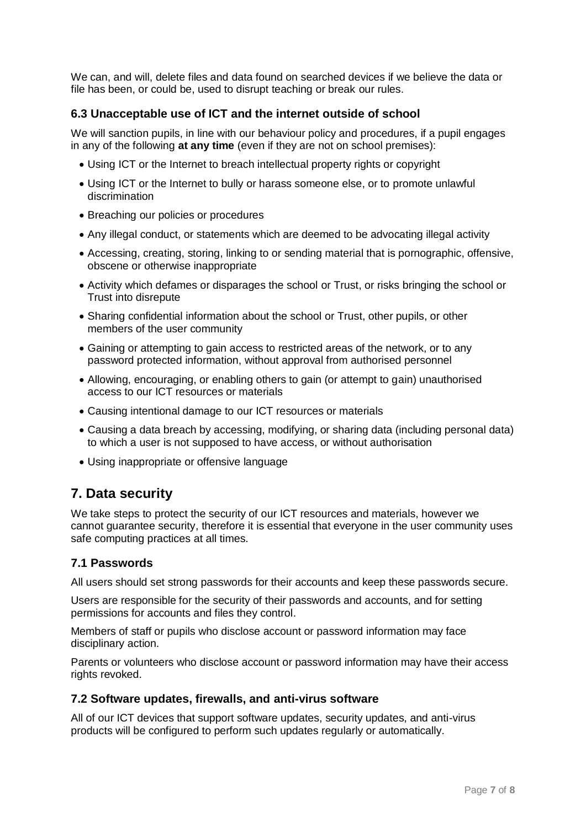We can, and will, delete files and data found on searched devices if we believe the data or file has been, or could be, used to disrupt teaching or break our rules.

## **6.3 Unacceptable use of ICT and the internet outside of school**

We will sanction pupils, in line with our behaviour policy and procedures, if a pupil engages in any of the following **at any time** (even if they are not on school premises):

- Using ICT or the Internet to breach intellectual property rights or copyright
- Using ICT or the Internet to bully or harass someone else, or to promote unlawful discrimination
- Breaching our policies or procedures
- Any illegal conduct, or statements which are deemed to be advocating illegal activity
- Accessing, creating, storing, linking to or sending material that is pornographic, offensive, obscene or otherwise inappropriate
- Activity which defames or disparages the school or Trust, or risks bringing the school or Trust into disrepute
- Sharing confidential information about the school or Trust, other pupils, or other members of the user community
- Gaining or attempting to gain access to restricted areas of the network, or to any password protected information, without approval from authorised personnel
- Allowing, encouraging, or enabling others to gain (or attempt to gain) unauthorised access to our ICT resources or materials
- Causing intentional damage to our ICT resources or materials
- Causing a data breach by accessing, modifying, or sharing data (including personal data) to which a user is not supposed to have access, or without authorisation
- Using inappropriate or offensive language

# <span id="page-6-0"></span>**7. Data security**

We take steps to protect the security of our ICT resources and materials, however we cannot guarantee security, therefore it is essential that everyone in the user community uses safe computing practices at all times.

#### **7.1 Passwords**

All users should set strong passwords for their accounts and keep these passwords secure.

Users are responsible for the security of their passwords and accounts, and for setting permissions for accounts and files they control.

Members of staff or pupils who disclose account or password information may face disciplinary action.

Parents or volunteers who disclose account or password information may have their access rights revoked.

#### **7.2 Software updates, firewalls, and anti-virus software**

All of our ICT devices that support software updates, security updates, and anti-virus products will be configured to perform such updates regularly or automatically.